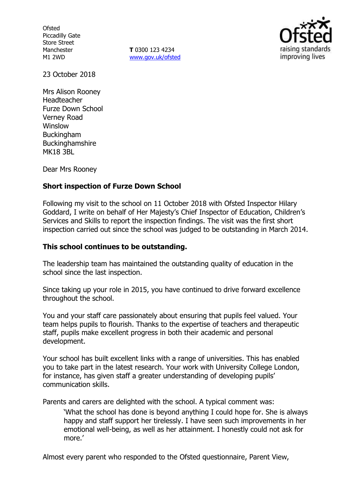**Ofsted** Piccadilly Gate Store Street Manchester M1 2WD

**T** 0300 123 4234 www.gov.uk/ofsted



23 October 2018

Mrs Alison Rooney Headteacher Furze Down School Verney Road Winslow **Buckingham** Buckinghamshire MK18 3BL

Dear Mrs Rooney

## **Short inspection of Furze Down School**

Following my visit to the school on 11 October 2018 with Ofsted Inspector Hilary Goddard, I write on behalf of Her Majesty's Chief Inspector of Education, Children's Services and Skills to report the inspection findings. The visit was the first short inspection carried out since the school was judged to be outstanding in March 2014.

## **This school continues to be outstanding.**

The leadership team has maintained the outstanding quality of education in the school since the last inspection.

Since taking up your role in 2015, you have continued to drive forward excellence throughout the school.

You and your staff care passionately about ensuring that pupils feel valued. Your team helps pupils to flourish. Thanks to the expertise of teachers and therapeutic staff, pupils make excellent progress in both their academic and personal development.

Your school has built excellent links with a range of universities. This has enabled you to take part in the latest research. Your work with University College London, for instance, has given staff a greater understanding of developing pupils' communication skills.

Parents and carers are delighted with the school. A typical comment was:

'What the school has done is beyond anything I could hope for. She is always happy and staff support her tirelessly. I have seen such improvements in her emotional well-being, as well as her attainment. I honestly could not ask for more.'

Almost every parent who responded to the Ofsted questionnaire, Parent View,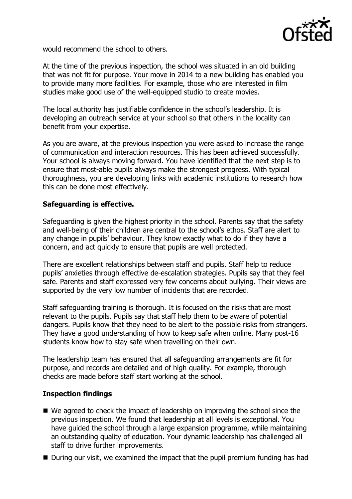

would recommend the school to others.

At the time of the previous inspection, the school was situated in an old building that was not fit for purpose. Your move in 2014 to a new building has enabled you to provide many more facilities. For example, those who are interested in film studies make good use of the well-equipped studio to create movies.

The local authority has justifiable confidence in the school's leadership. It is developing an outreach service at your school so that others in the locality can benefit from your expertise.

As you are aware, at the previous inspection you were asked to increase the range of communication and interaction resources. This has been achieved successfully. Your school is always moving forward. You have identified that the next step is to ensure that most-able pupils always make the strongest progress. With typical thoroughness, you are developing links with academic institutions to research how this can be done most effectively.

# **Safeguarding is effective.**

Safeguarding is given the highest priority in the school. Parents say that the safety and well-being of their children are central to the school's ethos. Staff are alert to any change in pupils' behaviour. They know exactly what to do if they have a concern, and act quickly to ensure that pupils are well protected.

There are excellent relationships between staff and pupils. Staff help to reduce pupils' anxieties through effective de-escalation strategies. Pupils say that they feel safe. Parents and staff expressed very few concerns about bullying. Their views are supported by the very low number of incidents that are recorded.

Staff safeguarding training is thorough. It is focused on the risks that are most relevant to the pupils. Pupils say that staff help them to be aware of potential dangers. Pupils know that they need to be alert to the possible risks from strangers. They have a good understanding of how to keep safe when online. Many post-16 students know how to stay safe when travelling on their own.

The leadership team has ensured that all safeguarding arrangements are fit for purpose, and records are detailed and of high quality. For example, thorough checks are made before staff start working at the school.

## **Inspection findings**

- We agreed to check the impact of leadership on improving the school since the previous inspection. We found that leadership at all levels is exceptional. You have guided the school through a large expansion programme, while maintaining an outstanding quality of education. Your dynamic leadership has challenged all staff to drive further improvements.
- During our visit, we examined the impact that the pupil premium funding has had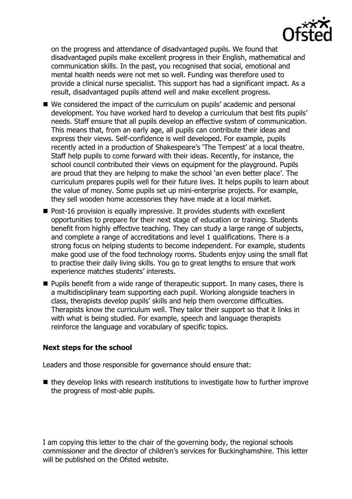

on the progress and attendance of disadvantaged pupils. We found that disadvantaged pupils make excellent progress in their English, mathematical and communication skills. In the past, you recognised that social, emotional and mental health needs were not met so well. Funding was therefore used to provide a clinical nurse specialist. This support has had a significant impact. As a result, disadvantaged pupils attend well and make excellent progress.

- We considered the impact of the curriculum on pupils' academic and personal development. You have worked hard to develop a curriculum that best fits pupils' needs. Staff ensure that all pupils develop an effective system of communication. This means that, from an early age, all pupils can contribute their ideas and express their views. Self-confidence is well developed. For example, pupils recently acted in a production of Shakespeare's 'The Tempest' at a local theatre. Staff help pupils to come forward with their ideas. Recently, for instance, the school council contributed their views on equipment for the playground. Pupils are proud that they are helping to make the school 'an even better place'. The curriculum prepares pupils well for their future lives. It helps pupils to learn about the value of money. Some pupils set up mini-enterprise projects. For example, they sell wooden home accessories they have made at a local market.
- $\blacksquare$  Post-16 provision is equally impressive. It provides students with excellent opportunities to prepare for their next stage of education or training. Students benefit from highly effective teaching. They can study a large range of subjects, and complete a range of accreditations and level 1 qualifications. There is a strong focus on helping students to become independent. For example, students make good use of the food technology rooms. Students enjoy using the small flat to practise their daily living skills. You go to great lengths to ensure that work experience matches students' interests.
- **Pupils benefit from a wide range of therapeutic support. In many cases, there is** a multidisciplinary team supporting each pupil. Working alongside teachers in class, therapists develop pupils' skills and help them overcome difficulties. Therapists know the curriculum well. They tailor their support so that it links in with what is being studied. For example, speech and language therapists reinforce the language and vocabulary of specific topics.

## **Next steps for the school**

Leaders and those responsible for governance should ensure that:

 $\blacksquare$  they develop links with research institutions to investigate how to further improve the progress of most-able pupils.

I am copying this letter to the chair of the governing body, the regional schools commissioner and the director of children's services for Buckinghamshire. This letter will be published on the Ofsted website.